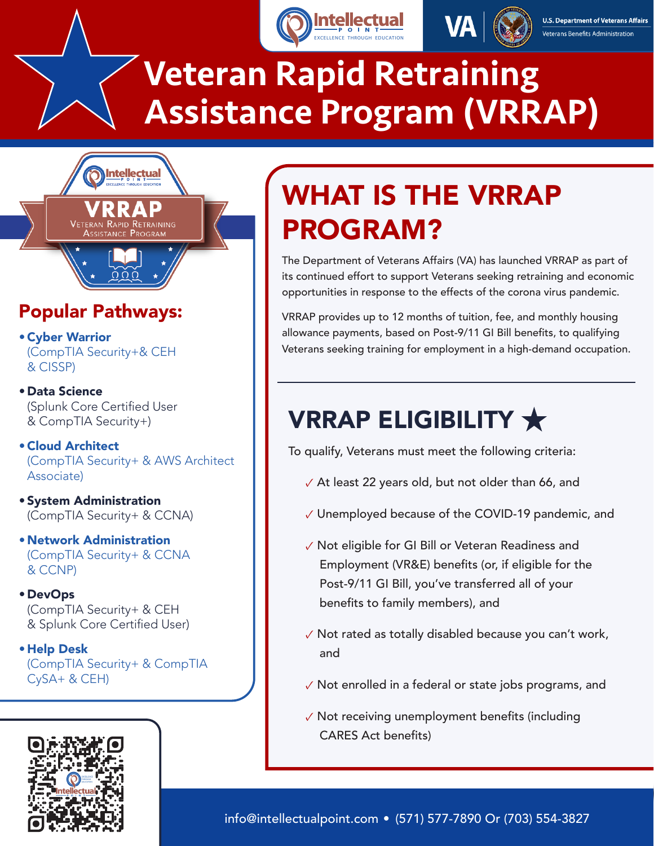



# Veteran Rapid Retraining [Assistance Program \(VRRAP\)](https://www.intellectualpoint.com/training/vet-tec-program/)



## Popular Pathways:

•Cyber Warrior (CompTIA Security+& CEH & CISSP)

• Data Science (Splunk Core Certified User & CompTIA Security+)

•Cloud Architect (CompTIA Security+ & AWS Architect Associate)

• System Administration (CompTIA Security+ & CCNA)

• Network Administration (CompTIA Security+ & CCNA & CCNP)

• DevOps (CompTIA Security+ & CEH & Splunk Core Certified User)

• Help Desk (CompTIA Security+ & CompTIA  $CySA+ & CEH)$ 



## WHAT IS THE VRRAP PROGRAM?

The Department of Veterans Affairs (VA) has launched VRRAP as part of its continued effort to support Veterans seeking retraining and economic opportunities in response to the effects of the corona virus pandemic.

VRRAP provides up to 12 months of tuition, fee, and monthly housing allowance payments, based on Post-9/11 GI Bill benefits, to qualifying Veterans seeking training for employment in a high-demand occupation.

## VRRAP ELIGIBILITY  $\bigstar$

To qualify, Veterans must meet the following criteria:

- ✓ At least 22 years old, but not older than 66, and
- ✓ Unemployed because of the COVID-19 pandemic, and
- ✓ Not eligible for GI Bill or Veteran Readiness and Employment (VR&E) benefits (or, if eligible for the Post-9/11 GI Bill, you've transferred all of your benefits to family members), and
- ✓ Not rated as totally disabled because you can't work, and
- ✓ Not enrolled in a federal or state jobs programs, and
- ✓ Not receiving unemployment benefits (including CARES Act benefits)

info@intellectualpoint.com • (571) 577-7890 Or (703) 554-3827